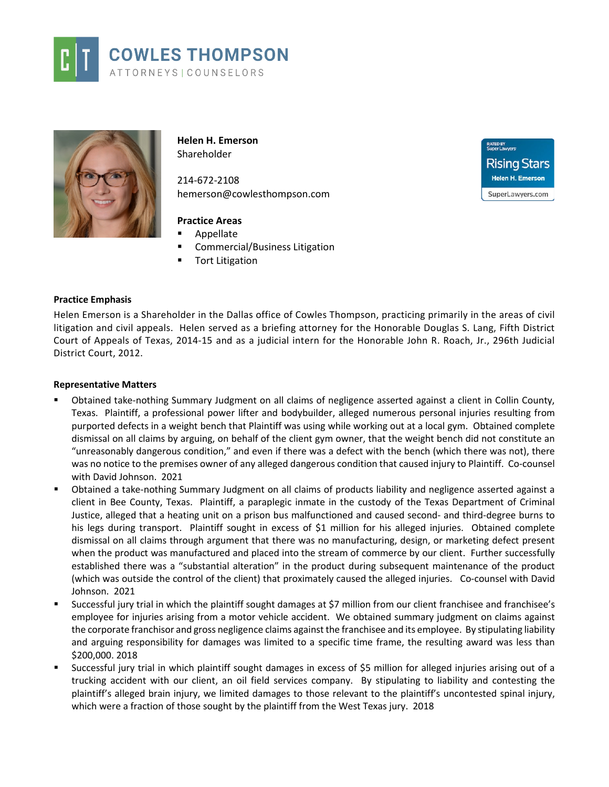



**Helen H. Emerson** Shareholder

214-672-2108 hemerson@cowlesthompson.com

# **Practice Areas**

- Appellate
- Commercial/Business Litigation
- Tort Litigation

### **Practice Emphasis**

Helen Emerson is a Shareholder in the Dallas office of Cowles Thompson, practicing primarily in the areas of civil litigation and civil appeals. Helen served as a briefing attorney for the Honorable Douglas S. Lang, Fifth District Court of Appeals of Texas, 2014-15 and as a judicial intern for the Honorable John R. Roach, Jr., 296th Judicial District Court, 2012.

#### **Representative Matters**

- Obtained take-nothing Summary Judgment on all claims of negligence asserted against a client in Collin County, Texas. Plaintiff, a professional power lifter and bodybuilder, alleged numerous personal injuries resulting from purported defects in a weight bench that Plaintiff was using while working out at a local gym. Obtained complete dismissal on all claims by arguing, on behalf of the client gym owner, that the weight bench did not constitute an "unreasonably dangerous condition," and even if there was a defect with the bench (which there was not), there was no notice to the premises owner of any alleged dangerous condition that caused injury to Plaintiff. Co-counsel with David Johnson. 2021
- Obtained a take-nothing Summary Judgment on all claims of products liability and negligence asserted against a client in Bee County, Texas. Plaintiff, a paraplegic inmate in the custody of the Texas Department of Criminal Justice, alleged that a heating unit on a prison bus malfunctioned and caused second- and third-degree burns to his legs during transport. Plaintiff sought in excess of \$1 million for his alleged injuries. Obtained complete dismissal on all claims through argument that there was no manufacturing, design, or marketing defect present when the product was manufactured and placed into the stream of commerce by our client. Further successfully established there was a "substantial alteration" in the product during subsequent maintenance of the product (which was outside the control of the client) that proximately caused the alleged injuries. Co-counsel with David Johnson. 2021
- Successful jury trial in which the plaintiff sought damages at \$7 million from our client franchisee and franchisee's employee for injuries arising from a motor vehicle accident. We obtained summary judgment on claims against the corporate franchisor and gross negligence claims against the franchisee and its employee. By stipulating liability and arguing responsibility for damages was limited to a specific time frame, the resulting award was less than \$200,000. 2018
- Successful jury trial in which plaintiff sought damages in excess of \$5 million for alleged injuries arising out of a trucking accident with our client, an oil field services company. By stipulating to liability and contesting the plaintiff's alleged brain injury, we limited damages to those relevant to the plaintiff's uncontested spinal injury, which were a fraction of those sought by the plaintiff from the West Texas jury. 2018